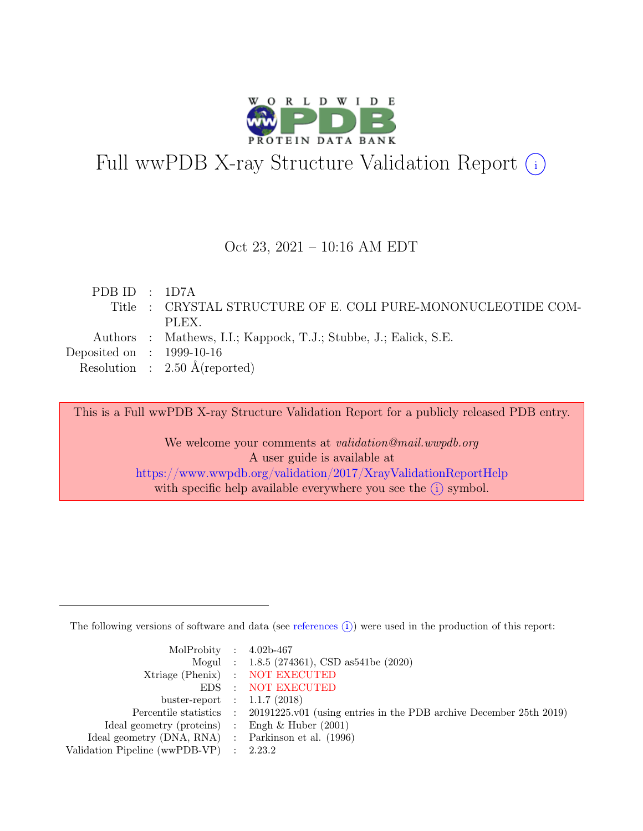

# Full wwPDB X-ray Structure Validation Report  $(i)$

### Oct 23, 2021 – 10:16 AM EDT

| PDBID : 1D7A                |                                                                  |
|-----------------------------|------------------------------------------------------------------|
|                             | Title : CRYSTAL STRUCTURE OF E. COLI PURE-MONONUCLEOTIDE COM-    |
|                             | PLEX.                                                            |
|                             | Authors : Mathews, I.I.; Kappock, T.J.; Stubbe, J.; Ealick, S.E. |
| Deposited on : $1999-10-16$ |                                                                  |
|                             | Resolution : $2.50 \text{ Å}$ (reported)                         |

This is a Full wwPDB X-ray Structure Validation Report for a publicly released PDB entry.

We welcome your comments at *validation@mail.wwpdb.org* A user guide is available at <https://www.wwpdb.org/validation/2017/XrayValidationReportHelp> with specific help available everywhere you see the  $(i)$  symbol.

The following versions of software and data (see [references](https://www.wwpdb.org/validation/2017/XrayValidationReportHelp#references)  $(i)$ ) were used in the production of this report:

| MolProbity : $4.02b-467$                            |                                                                                            |
|-----------------------------------------------------|--------------------------------------------------------------------------------------------|
|                                                     | Mogul : 1.8.5 (274361), CSD as 541be (2020)                                                |
|                                                     | Xtriage (Phenix) : NOT EXECUTED                                                            |
|                                                     | EDS : NOT EXECUTED                                                                         |
| buster-report : $1.1.7$ (2018)                      |                                                                                            |
|                                                     | Percentile statistics : 20191225.v01 (using entries in the PDB archive December 25th 2019) |
| Ideal geometry (proteins) : Engh $\&$ Huber (2001)  |                                                                                            |
| Ideal geometry (DNA, RNA) : Parkinson et al. (1996) |                                                                                            |
| Validation Pipeline (wwPDB-VP) : 2.23.2             |                                                                                            |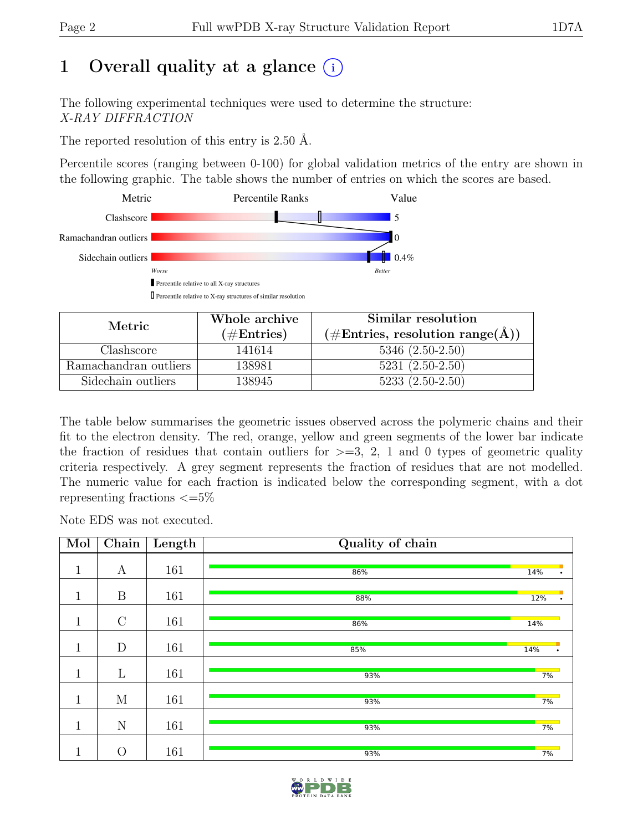# 1 Overall quality at a glance  $(i)$

The following experimental techniques were used to determine the structure: X-RAY DIFFRACTION

The reported resolution of this entry is 2.50 Å.

Percentile scores (ranging between 0-100) for global validation metrics of the entry are shown in the following graphic. The table shows the number of entries on which the scores are based.



| Metric                | Whole archive | Similar resolution                                 |  |  |
|-----------------------|---------------|----------------------------------------------------|--|--|
|                       | $(\#Entries)$ | $(\text{\#Entries, resolution range}(\text{\AA}))$ |  |  |
| Clashscore            | 141614        | $5346(2.50-2.50)$                                  |  |  |
| Ramachandran outliers | 138981        | $5231 (2.50 - 2.50)$                               |  |  |
| Sidechain outliers    | 138945        | $5233(2.50-2.50)$                                  |  |  |

The table below summarises the geometric issues observed across the polymeric chains and their fit to the electron density. The red, orange, yellow and green segments of the lower bar indicate the fraction of residues that contain outliers for  $\geq$ =3, 2, 1 and 0 types of geometric quality criteria respectively. A grey segment represents the fraction of residues that are not modelled. The numeric value for each fraction is indicated below the corresponding segment, with a dot representing fractions  $\epsilon = 5\%$ 

Note EDS was not executed.

| Mol          | Chain          | Length | Quality of chain |                  |
|--------------|----------------|--------|------------------|------------------|
| $\mathbf{1}$ | А              | 161    | 86%              | 14%              |
| $\mathbf 1$  | B              | 161    | 88%              | 12%              |
| $\mathbf{1}$ | $\mathcal{C}$  | 161    | 86%              | 14%              |
| $\mathbf{1}$ | D              | 161    | 85%              | 14%<br>$\bullet$ |
| $\mathbf{1}$ | $\mathbf{L}$   | 161    | 93%              | 7%               |
| $\mathbf{1}$ | M              | 161    | 93%              | 7%               |
| $\mathbf{1}$ | N              | 161    | 93%              | 7%               |
| 1<br>л.      | $\overline{O}$ | 161    | 93%              | 7%               |

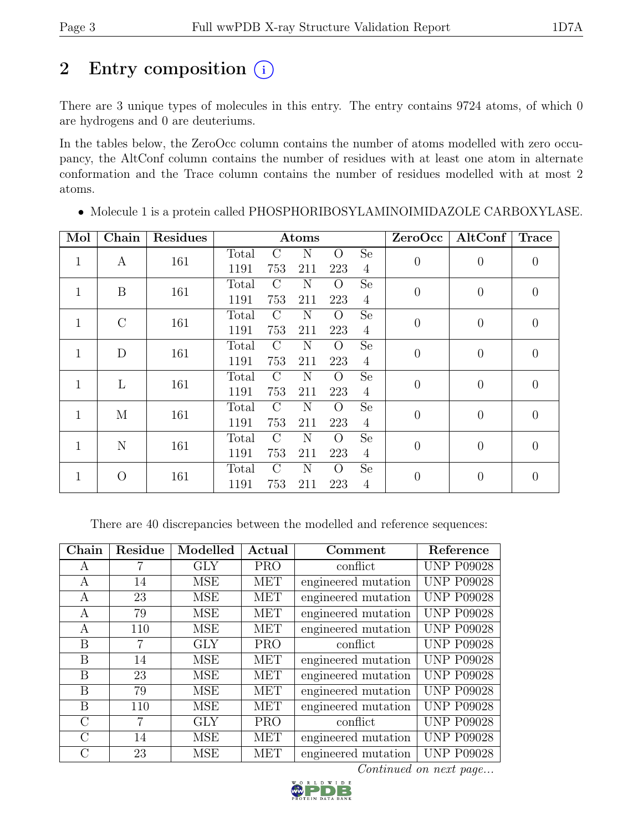# 2 Entry composition  $(i)$

There are 3 unique types of molecules in this entry. The entry contains 9724 atoms, of which 0 are hydrogens and 0 are deuteriums.

In the tables below, the ZeroOcc column contains the number of atoms modelled with zero occupancy, the AltConf column contains the number of residues with at least one atom in alternate conformation and the Trace column contains the number of residues modelled with at most 2 atoms.

| Mol          | Chain    | Residues |       |               | Atoms |                |                | ZeroOcc        | AltConf        | <b>Trace</b>     |
|--------------|----------|----------|-------|---------------|-------|----------------|----------------|----------------|----------------|------------------|
| $\mathbf{1}$ |          | 161      | Total | $\bigcap$     | N     | $\Omega$       | <b>Se</b>      | $\theta$       | $\overline{0}$ |                  |
|              | A        |          | 1191  | 753           | 211   | 223            | $\overline{4}$ |                |                | $\boldsymbol{0}$ |
| $\mathbf{1}$ | B        | 161      | Total | $\rm C$       | N     | $\Omega$       | <b>Se</b>      | $\theta$       | $\overline{0}$ | $\overline{0}$   |
|              |          |          | 1191  | 753           | 211   | 223            | $\overline{4}$ |                |                |                  |
| 1            | $\rm C$  | 161      | Total | $\mathcal{C}$ | N     | $\Omega$       | Se             | $\theta$       | $\overline{0}$ | $\boldsymbol{0}$ |
|              |          |          | 1191  | 753           | 211   | 223            | $\overline{4}$ |                |                |                  |
| 1            | D        | 161      | Total | $\mathcal{C}$ | N     | $\overline{O}$ | <b>Se</b>      | $\theta$       | $\overline{0}$ | $\theta$         |
|              |          |          | 1191  | 753           | 211   | 223            | $\overline{4}$ |                |                |                  |
| 1            | L        | 161      | Total | $\rm C$       | N     | $\overline{O}$ | <b>Se</b>      | $\overline{0}$ | $\overline{0}$ | $\overline{0}$   |
|              |          |          | 1191  | 753           | 211   | 223            | $\overline{4}$ |                |                |                  |
| 1            | М        | 161      | Total | $\mathcal{C}$ | N     | O              | <b>Se</b>      | $\theta$       | $\overline{0}$ | $\overline{0}$   |
|              |          |          | 1191  | 753           | 211   | 223            | $\overline{4}$ |                |                |                  |
| $\mathbf{1}$ | N        | 161      | Total | $\mathcal{C}$ | N     | $\overline{O}$ | Se             | $\overline{0}$ | $\overline{0}$ | $\overline{0}$   |
|              |          |          | 1191  | 753           | 211   | 223            | $\overline{4}$ |                |                |                  |
| 1            | $\Omega$ | 161      | Total | $\mathcal{C}$ | N     | $\Omega$       | <b>Se</b>      | $\overline{0}$ | $\overline{0}$ | $\overline{0}$   |
|              |          |          | 1191  | 753           | 211   | 223            | $\overline{4}$ |                |                |                  |

• Molecule 1 is a protein called PHOSPHORIBOSYLAMINOIMIDAZOLE CARBOXYLASE.

There are 40 discrepancies between the modelled and reference sequences:

| Chain         | Residue | Modelled   | Actual     | Comment             | Reference         |
|---------------|---------|------------|------------|---------------------|-------------------|
| A             |         | <b>GLY</b> | <b>PRO</b> | conflict            | <b>UNP P09028</b> |
| A             | 14      | <b>MSE</b> | <b>MET</b> | engineered mutation | <b>UNP P09028</b> |
| A             | 23      | <b>MSE</b> | <b>MET</b> | engineered mutation | <b>UNP P09028</b> |
| A             | 79      | <b>MSE</b> | <b>MET</b> | engineered mutation | <b>UNP P09028</b> |
| А             | 110     | <b>MSE</b> | MET        | engineered mutation | <b>UNP P09028</b> |
| B             | 7       | <b>GLY</b> | <b>PRO</b> | conflict            | <b>UNP P09028</b> |
| B             | 14      | <b>MSE</b> | <b>MET</b> | engineered mutation | <b>UNP P09028</b> |
| B             | 23      | <b>MSE</b> | <b>MET</b> | engineered mutation | <b>UNP P09028</b> |
| B             | 79      | <b>MSE</b> | <b>MET</b> | engineered mutation | <b>UNP P09028</b> |
| B             | 110     | <b>MSE</b> | <b>MET</b> | engineered mutation | <b>UNP P09028</b> |
| $\mathcal{C}$ | 7       | <b>GLY</b> | <b>PRO</b> | conflict            | <b>UNP P09028</b> |
| $\rm C$       | 14      | <b>MSE</b> | <b>MET</b> | engineered mutation | <b>UNP P09028</b> |
| С             | 23      | <b>MSE</b> | <b>MET</b> | engineered mutation | <b>UNP P09028</b> |

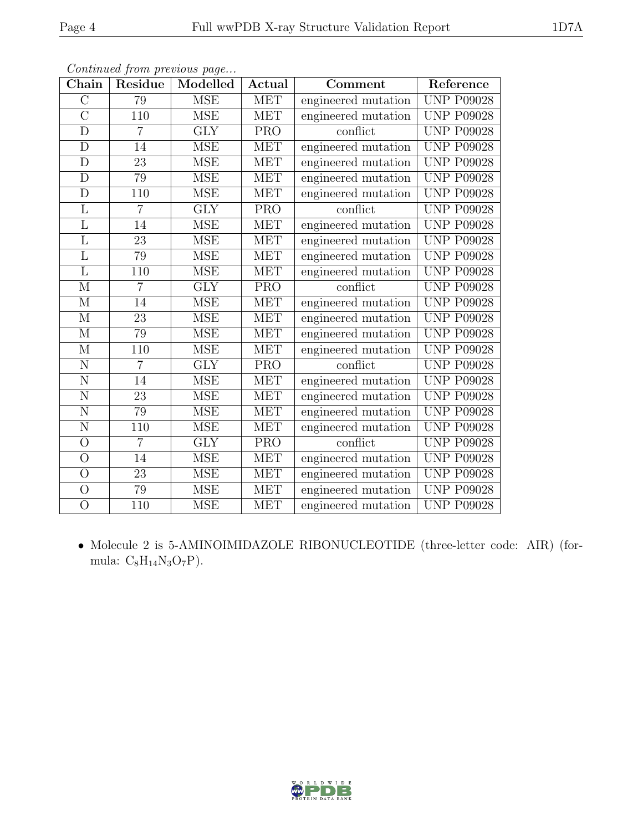| Chain                   | Residue         | Modelled             | Actual     | Comment             | Reference         |
|-------------------------|-----------------|----------------------|------------|---------------------|-------------------|
| $\overline{C}$          | 79              | <b>MSE</b>           | MET        | engineered mutation | <b>UNP P09028</b> |
| $\overline{\rm C}$      | 110             | <b>MSE</b>           | <b>MET</b> | engineered mutation | <b>UNP P09028</b> |
| $\overline{\rm D}$      | $\overline{7}$  | GLY                  | PRO        | conflict            | <b>UNP P09028</b> |
| $\mathbf D$             | 14              | <b>MSE</b>           | <b>MET</b> | engineered mutation | <b>UNP P09028</b> |
| D                       | $\overline{23}$ | <b>MSE</b>           | <b>MET</b> | engineered mutation | <b>UNP P09028</b> |
| $\overline{D}$          | 79              | <b>MSE</b>           | <b>MET</b> | engineered mutation | <b>UNP P09028</b> |
| D                       | 110             | <b>MSE</b>           | <b>MET</b> | engineered mutation | <b>UNP P09028</b> |
| $\overline{L}$          | 7               | <b>GLY</b>           | <b>PRO</b> | conflict            | <b>UNP P09028</b> |
| $\overline{\mathrm{L}}$ | 14              | <b>MSE</b>           | <b>MET</b> | engineered mutation | <b>UNP P09028</b> |
| $\overline{\mathrm{L}}$ | $\overline{23}$ | <b>MSE</b>           | <b>MET</b> | engineered mutation | <b>UNP P09028</b> |
| L                       | 79              | <b>MSE</b>           | <b>MET</b> | engineered mutation | <b>UNP P09028</b> |
| $\overline{\mathrm{L}}$ | 110             | <b>MSE</b>           | <b>MET</b> | engineered mutation | <b>UNP P09028</b> |
| M                       | $\overline{7}$  | <b>GLY</b>           | <b>PRO</b> | conflict            | <b>UNP P09028</b> |
| М                       | 14              | <b>MSE</b>           | <b>MET</b> | engineered mutation | <b>UNP P09028</b> |
| $\mathbf{M}$            | $\overline{23}$ | <b>MSE</b>           | <b>MET</b> | engineered mutation | <b>UNP P09028</b> |
| $\mathbf M$             | 79              | <b>MSE</b>           | <b>MET</b> | engineered mutation | <b>UNP P09028</b> |
| $\mathbf{M}$            | 110             | <b>MSE</b>           | <b>MET</b> | engineered mutation | <b>UNP P09028</b> |
| $\overline{N}$          | $\overline{7}$  | <b>GLY</b>           | <b>PRO</b> | conflict            | <b>UNP P09028</b> |
| N                       | 14              | <b>MSE</b>           | <b>MET</b> | engineered mutation | <b>UNP P09028</b> |
| $\overline{\rm N}$      | $\overline{23}$ | <b>MSE</b>           | <b>MET</b> | engineered mutation | <b>UNP P09028</b> |
| $\overline{N}$          | 79              | <b>MSE</b>           | <b>MET</b> | engineered mutation | <b>UNP P09028</b> |
| N                       | 110             | <b>MSE</b>           | <b>MET</b> | engineered mutation | <b>UNP P09028</b> |
| $\bigcirc$              | $\overline{7}$  | <b>GLY</b>           | <b>PRO</b> | conflict            | <b>UNP P09028</b> |
| $\overline{O}$          | 14              | <b>MSE</b>           | MET        | engineered mutation | <b>UNP P09028</b> |
| $\overline{O}$          | 23              | <b>MSE</b>           | <b>MET</b> | engineered mutation | <b>UNP P09028</b> |
| $\overline{O}$          | $\overline{79}$ | $\operatorname{MSE}$ | <b>MET</b> | engineered mutation | <b>UNP P09028</b> |
| $\overline{O}$          | 110             | <b>MSE</b>           | <b>MET</b> | engineered mutation | <b>UNP P09028</b> |

Continued from previous page...

• Molecule 2 is 5-AMINOIMIDAZOLE RIBONUCLEOTIDE (three-letter code: AIR) (formula: $\mathrm{C_8H_{14}N_3O_7P}).$ 

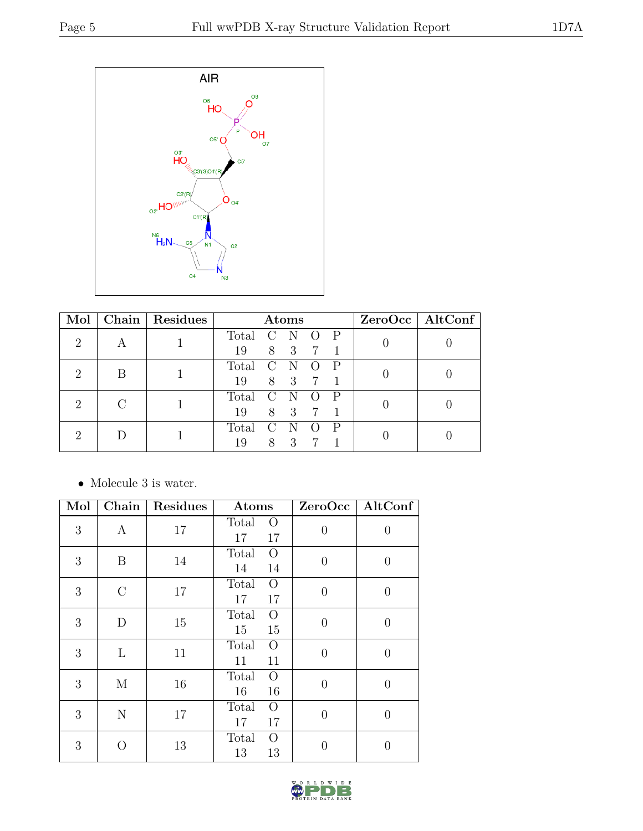

| Mol           |  | Chain   Residues | Atoms |                        |             |                  |              |  | $ZeroOcc \   \$ AltConf |  |
|---------------|--|------------------|-------|------------------------|-------------|------------------|--------------|--|-------------------------|--|
| $\mathcal{D}$ |  |                  | Total | $\rm C$                | - N         | $\left( \right)$ | $\mathbb{P}$ |  |                         |  |
|               |  |                  | 19    |                        | 8 3         | 7                |              |  |                         |  |
| $\mathcal{D}$ |  |                  | Total | $\left( \cdot \right)$ | - N         |                  |              |  |                         |  |
|               |  |                  | 19    |                        | 8 3         |                  |              |  |                         |  |
| $\mathcal{D}$ |  |                  | Total | $\left( \cdot \right)$ | $\mathbf N$ |                  |              |  |                         |  |
|               |  |                  | 19    |                        | 8 3         |                  |              |  |                         |  |
|               |  |                  | Total | $\mathcal{C}$          | $\mathbf N$ |                  | $\mathsf{P}$ |  |                         |  |
|               |  |                  | 19    | 8                      | 3           |                  |              |  |                         |  |

 $\bullet\,$  Molecule 3 is water.

| Mol | Chain         | Residues | Atoms                               | ZeroOcc        | $\mathbf{AltConf}$ |
|-----|---------------|----------|-------------------------------------|----------------|--------------------|
| 3   | A             | 17       | Total<br>$\Omega$<br>17<br>17       | $\overline{0}$ | 0                  |
| 3   | B             | 14       | Total<br>$\Omega$<br>14<br>14       | $\theta$       | 0                  |
| 3   | $\mathcal{C}$ | 17       | $\Omega$<br>Total<br>17<br>17       | $\overline{0}$ | 0                  |
| 3   | D             | 15       | $\Omega$<br>Total<br>15<br>15       | $\theta$       | $\overline{0}$     |
| 3   | L             | 11       | Total<br>$\Omega$<br>11<br>11       | $\theta$       | 0                  |
| 3   | M             | 16       | $\Omega$<br>Total<br>16<br>16       | $\overline{0}$ | 0                  |
| 3   | N             | 17       | Total<br>$\overline{O}$<br>17<br>17 | $\Omega$       | 0                  |
| 3   |               | 13       | Total<br>$\Omega$<br>13<br>13       | ∩              |                    |

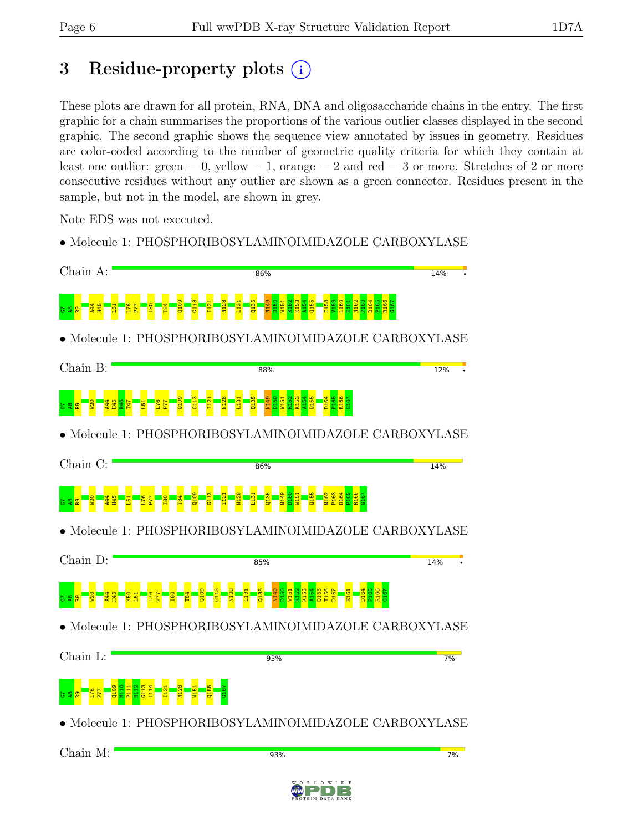# 3 Residue-property plots  $(i)$

These plots are drawn for all protein, RNA, DNA and oligosaccharide chains in the entry. The first graphic for a chain summarises the proportions of the various outlier classes displayed in the second graphic. The second graphic shows the sequence view annotated by issues in geometry. Residues are color-coded according to the number of geometric quality criteria for which they contain at least one outlier: green  $= 0$ , yellow  $= 1$ , orange  $= 2$  and red  $= 3$  or more. Stretches of 2 or more consecutive residues without any outlier are shown as a green connector. Residues present in the sample, but not in the model, are shown in grey.

Note EDS was not executed.

• Molecule 1: PHOSPHORIBOSYLAMINOIMIDAZOLE CARBOXYLASE

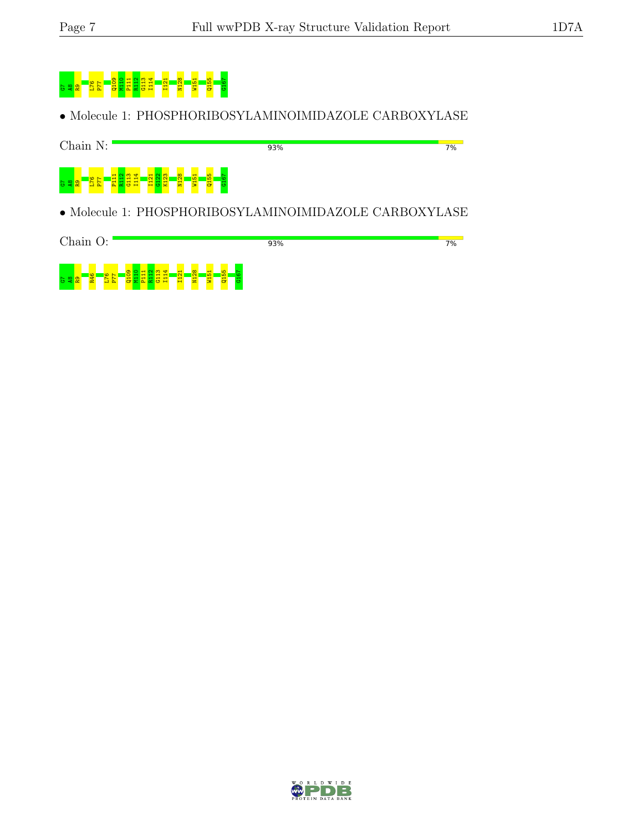

• Molecule 1: PHOSPHORIBOSYLAMINOIMIDAZOLE CARBOXYLASE



• Molecule 1: PHOSPHORIBOSYLAMINOIMIDAZOLE CARBOXYLASE



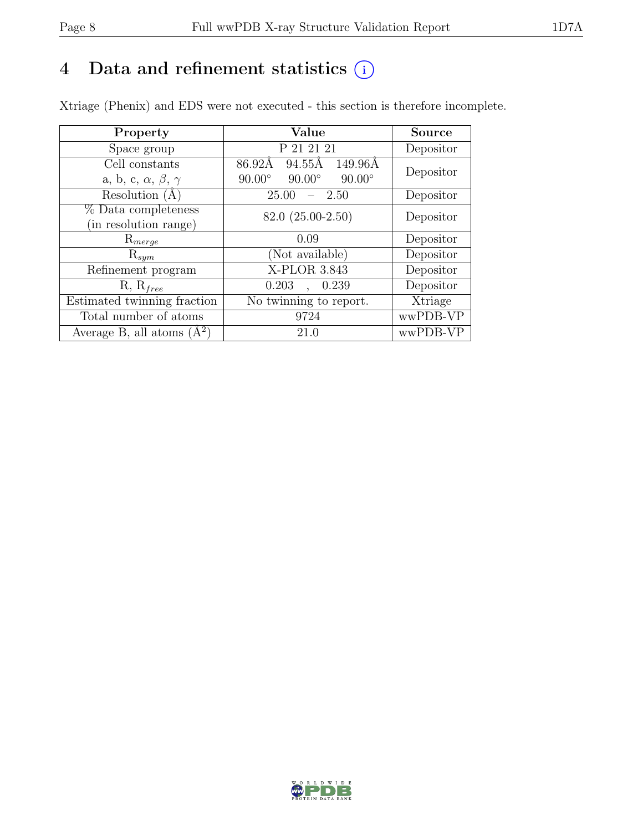# 4 Data and refinement statistics  $(i)$

Xtriage (Phenix) and EDS were not executed - this section is therefore incomplete.

| Property                               | Value                                           | <b>Source</b> |  |
|----------------------------------------|-------------------------------------------------|---------------|--|
| Space group                            | P 21 21 21                                      | Depositor     |  |
| Cell constants                         | 86.92Å<br>94.55Å<br>149.96Å                     | Depositor     |  |
| a, b, c, $\alpha$ , $\beta$ , $\gamma$ | $90.00^\circ$<br>$90.00^\circ$<br>$90.00^\circ$ |               |  |
| Resolution $(A)$                       | 25.00<br>- 2.50                                 | Depositor     |  |
| % Data completeness                    | 82.0 (25.00-2.50)                               | Depositor     |  |
| (in resolution range)                  |                                                 |               |  |
| $\mathrm{R}_{merge}$                   | 0.09                                            | Depositor     |  |
| $\mathrm{R}_{sym}$                     | (Not available)                                 | Depositor     |  |
| Refinement program                     | X-PLOR 3.843                                    | Depositor     |  |
| $R, R_{free}$                          | 0.203<br>0.239                                  | Depositor     |  |
| Estimated twinning fraction            | No twinning to report.                          | Xtriage       |  |
| Total number of atoms                  | 9724                                            | wwPDB-VP      |  |
| Average B, all atoms $(A^2)$           | 21.0                                            | wwPDB-VP      |  |

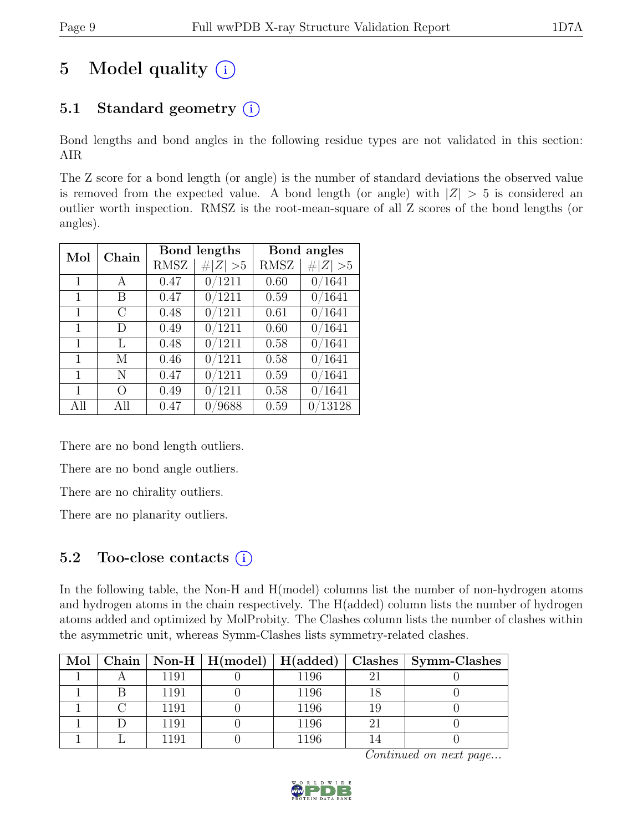# 5 Model quality  $(i)$

# 5.1 Standard geometry  $(i)$

Bond lengths and bond angles in the following residue types are not validated in this section: AIR

The Z score for a bond length (or angle) is the number of standard deviations the observed value is removed from the expected value. A bond length (or angle) with  $|Z| > 5$  is considered an outlier worth inspection. RMSZ is the root-mean-square of all Z scores of the bond lengths (or angles).

| Mol          | Chain         |             | Bond lengths | Bond angles |             |  |
|--------------|---------------|-------------|--------------|-------------|-------------|--|
|              |               | <b>RMSZ</b> | $\# Z  > 5$  | <b>RMSZ</b> | $\# Z  > 5$ |  |
| $\mathbf{1}$ | $\mathsf{A}$  | 0.47        | 0/1211       | 0.60        | 0/1641      |  |
| $\mathbf{1}$ | В             | 0.47        | 0/1211       | 0.59        | 0/1641      |  |
| $\mathbf{1}$ | $\mathcal{C}$ | 0.48        | 0/1211       | 0.61        | 0/1641      |  |
| 1            | D             | 0.49        | 0/1211       | 0.60        | 0/1641      |  |
| 1            | L             | 0.48        | 0/1211       | 0.58        | 0/1641      |  |
| $\mathbf{1}$ | М             | 0.46        | 0/1211       | 0.58        | 0/1641      |  |
| $\mathbf{1}$ | N             | 0.47        | 0/1211       | 0.59        | 0/1641      |  |
| 1            | O             | 0.49        | 0/1211       | 0.58        | 0/1641      |  |
| All          | All           | 0.47        | /9688        | 0.59        | 0/13128     |  |

There are no bond length outliers.

There are no bond angle outliers.

There are no chirality outliers.

There are no planarity outliers.

## 5.2 Too-close contacts  $(i)$

In the following table, the Non-H and H(model) columns list the number of non-hydrogen atoms and hydrogen atoms in the chain respectively. The H(added) column lists the number of hydrogen atoms added and optimized by MolProbity. The Clashes column lists the number of clashes within the asymmetric unit, whereas Symm-Clashes lists symmetry-related clashes.

|  |         |      |    | Mol   Chain   Non-H   H(model)   H(added)   Clashes   Symm-Clashes |
|--|---------|------|----|--------------------------------------------------------------------|
|  | 1191    | 1196 | ၣႜ |                                                                    |
|  | 1191    | 1196 |    |                                                                    |
|  | 1191    | 1196 |    |                                                                    |
|  | 1191    | 1196 | ി  |                                                                    |
|  | l 1 Q 1 | 1196 |    |                                                                    |

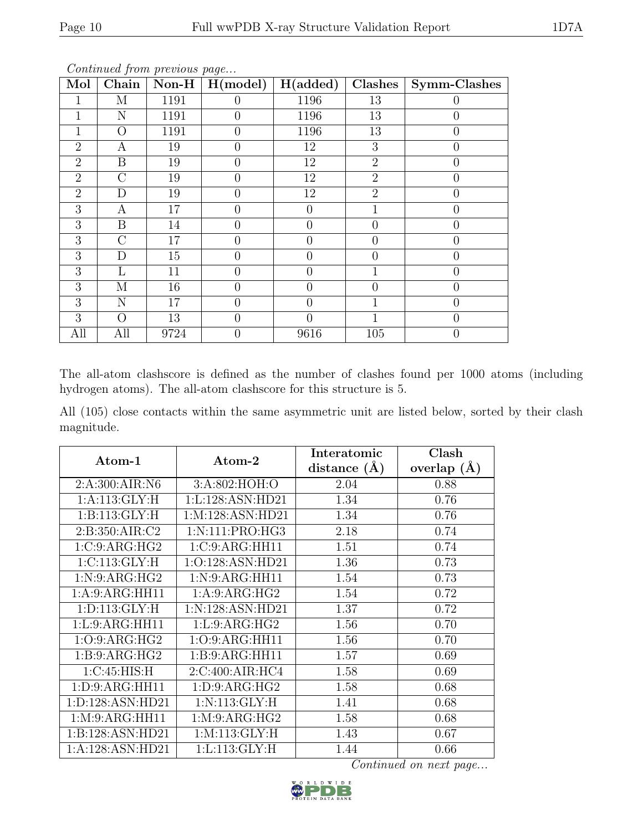| $\overline{\text{Mol}}$ | $\overline{\text{Chain}}$ | Non-H $ $ | ு<br>H(model)  | H(added)       | Clashes         | Symm-Clashes   |
|-------------------------|---------------------------|-----------|----------------|----------------|-----------------|----------------|
|                         | М                         | 1191      | $\Omega$       | 1196           | 13              |                |
|                         | N                         | 1191      | $\theta$       | 1196           | 13              | 0              |
| 1                       | $\overline{O}$            | 1191      | $\overline{0}$ | 1196           | $\overline{13}$ | $\overline{0}$ |
| $\overline{2}$          | А                         | 19        | $\theta$       | 12             | 3               | $\overline{0}$ |
| $\overline{2}$          | $\boldsymbol{B}$          | 19        | $\Omega$       | 12             | $\overline{2}$  | 0              |
| $\overline{2}$          | $\overline{C}$            | 19        | $\theta$       | 12             | $\overline{2}$  | $\overline{0}$ |
| $\overline{2}$          | D                         | 19        | $\theta$       | 12             | $\overline{2}$  | 0              |
| 3                       | $\boldsymbol{A}$          | 17        | $\theta$       | $\overline{0}$ | 1               | 0              |
| 3                       | $\boldsymbol{B}$          | 14        | $\overline{0}$ | $\overline{0}$ | $\overline{0}$  | $\overline{0}$ |
| 3                       | $\overline{C}$            | 17        | $\theta$       | $\overline{0}$ | $\theta$        | $\overline{0}$ |
| 3                       | D                         | 15        | $\theta$       | $\theta$       | $\theta$        | 0              |
| 3                       | L                         | 11        | $\Omega$       | $\theta$       | 1               | 0              |
| 3                       | М                         | 16        | $\overline{0}$ | $\overline{0}$ | 0               | $\overline{0}$ |
| 3                       | N                         | 17        | $\theta$       | $\overline{0}$ |                 | 0              |
| 3                       | O                         | 13        | $\overline{0}$ | $\theta$       | 1               | $\overline{0}$ |
| All                     | All                       | 9724      | $\theta$       | 9616           | 105             | 0              |

Continued from previous page...

The all-atom clashscore is defined as the number of clashes found per 1000 atoms (including hydrogen atoms). The all-atom clashscore for this structure is 5.

All (105) close contacts within the same asymmetric unit are listed below, sorted by their clash magnitude.

| Atom-1             | Atom-2             | Interatomic      | Clash         |  |
|--------------------|--------------------|------------------|---------------|--|
|                    |                    | distance $(\AA)$ | overlap $(A)$ |  |
| 2:A:300:AIR:N6     | 3:A:802:HOH:O      | 2.04             | 0.88          |  |
| 1:A:113:GLY:H      | 1:L:128:ASN:HD21   | 1.34             | 0.76          |  |
| 1: B: 113: GLY: H  | 1:M:128:ASN:HD21   | 1.34             | 0.76          |  |
| 2: B:350: AIR: C2  | 1: N: 111: PRO:HG3 | 2.18             | 0.74          |  |
| 1:C:9:ARG:HG2      | 1:C:9:ARG:HH11     | 1.51             | 0.74          |  |
| 1:C:113:GLY:H      | 1:O:128:ASN:HD21   | 1.36             | 0.73          |  |
| 1: N:9: ARG:HG2    | 1: N: 9: ARG: HH11 | 1.54             | 0.73          |  |
| 1:A:9:ARG:HH11     | 1: A:9: ARG:HG2    | 1.54             | 0.72          |  |
| 1: D: 113: GLY: H  | 1:N:128:ASN:HD21   | 1.37             | 0.72          |  |
| 1: L: 9: ARG: HH11 | 1: L: 9: ARG: HG2  | 1.56             | 0.70          |  |
| 1:O:9:ARG:HG2      | 1:O:9:ARG:HH11     | 1.56             | 0.70          |  |
| 1: B: 9: ARG: HG2  | 1:B:9:ARG:HH11     | 1.57             | 0.69          |  |
| 1:C:45:HIS:H       | 2:C:400:AIR:HC4    | 1.58             | 0.69          |  |
| 1: D: 9: ARG: HH11 | 1: D: 9: ARG: HG2  | 1.58             | 0.68          |  |
| 1:D:128:ASN:HD21   | 1: N:113: GLY: H   | 1.41             | 0.68          |  |
| 1: M: 9: ARG: HH11 | 1: M: 9: ARG: HG2  | 1.58             | 0.68          |  |
| 1:B:128:ASN:HD21   | 1: M: 113: GLY: H  | 1.43             | 0.67          |  |
| 1:A:128:ASN:HD21   | 1: L: 113: GLY: H  | 1.44             | 0.66          |  |

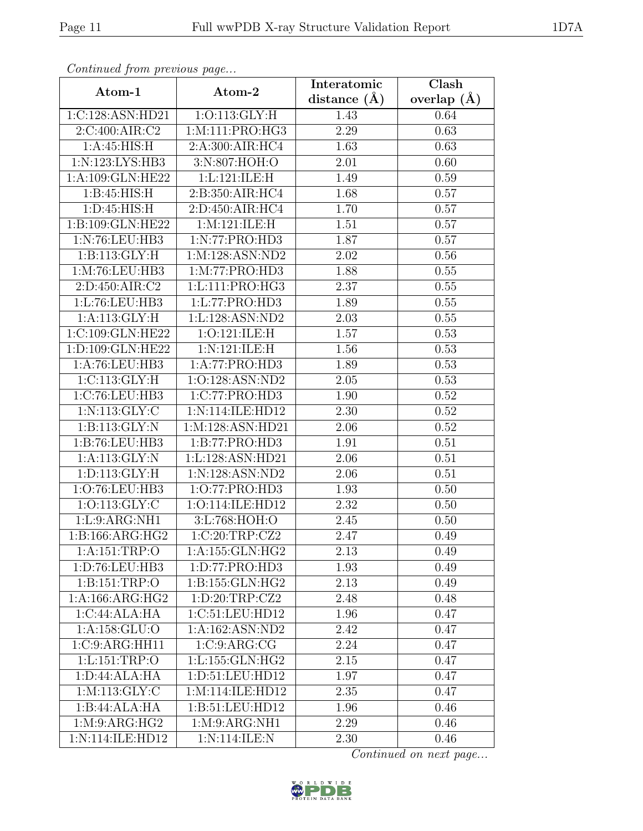| Continued from previous page |                               | Interatomic       | Clash           |  |
|------------------------------|-------------------------------|-------------------|-----------------|--|
| Atom-1                       | Atom-2                        | distance $(A)$    | overlap $(\AA)$ |  |
| 1:C:128:ASN:HD21             | 1:O:113:GLY:H                 | 1.43              | 0.64            |  |
| 2:C:400:AIR:C2               | 1:M:111:PRO:HG3               | 2.29              | 0.63            |  |
| 1: A:45: HIS:H               | 2:A:300:AIR:HC4               | 1.63              | 0.63            |  |
| 1:N:123:LYS:HB3              | 3:N:807:HOH:O                 | 2.01              | 0.60            |  |
| 1:A:109:GLN:HE22             | 1:L:121:LE:H                  | 1.49              | 0.59            |  |
| 1:B:45:HIS:H                 | 2:B:350:AIR:HC4               | 1.68              | 0.57            |  |
| 1: D: 45: HIS:H              | 2:D:450:AIR:HC4               | 1.70              | 0.57            |  |
| 1:B:109:GLN:HE22             | 1: M: 121: ILE:H              | 1.51              | 0.57            |  |
| 1:N:76:LEU:HB3               | 1:N:77:PRO:HD3                | 1.87              | 0.57            |  |
| 1: B: 113: GLY: H            | 1:M:128:ASN:ND2               | 2.02              | 0.56            |  |
| 1:M:76:LEU:HB3               | 1: M: 77: PRO: HD3            | 1.88              | 0.55            |  |
| 2: D: 450: AIR: C2           | 1:L:111:PRO:HG3               | 2.37              | 0.55            |  |
| 1:L:76:LEU:HB3               | 1:L:77:PRO:HD3                | 1.89              | $0.55\,$        |  |
| 1:A:113:GLY:H                | 1:L:128:ASN:ND2               | 2.03              | 0.55            |  |
| 1:C:109:GLN:HE22             | 1:O:121:ILE:H                 | 1.57              | 0.53            |  |
| 1:D:109:GLN:HE22             | 1:N:121:ILE:H                 | 1.56              | 0.53            |  |
| 1:A:76:LEU:HB3               | 1:A:77:PRO:HD3                | 1.89              | 0.53            |  |
| 1: C: 113: GLY: H            | 1:O:128:ASN:ND2               | 2.05              | 0.53            |  |
| 1:C:76:LEU:HB3               | 1:C:77:PRO:HD3                | 1.90              | 0.52            |  |
| 1: N: 113: GLY: C            | 1:N:114:ILE:HD12              | 2.30              | 0.52            |  |
| 1: B: 113: GLY: N            | 1:M:128:ASN:HD21              | $\overline{2}.06$ | 0.52            |  |
| 1:B:76:LEU:HB3               | 1:B:77:PRO:HD3                | 1.91              | 0.51            |  |
| 1:A:113:GLY:N                | 1:L:128:ASN:HD21              | 2.06              | 0.51            |  |
| 1: D: 113: GLY: H            | 1:N:128:ASN:ND2               | 2.06              | 0.51            |  |
| 1:O:76:LEU:HB3               | 1:0:77:PRO:HD3                | 1.93              | 0.50            |  |
| 1:0:113:GLY:C                | 1:O:114:ILE:HD12              | 2.32              | 0.50            |  |
| 1: L:9: ARG:NH1              | 3:L:768:HOH:O                 | 2.45              | 0.50            |  |
| 1: B: 166: ARG: HG2          | 1:C:20:TRP:CZ2                | 2.47              | 0.49            |  |
| 1:A:151:TRP:O                | 1:A:155:GLN:HG2               | 2.13              | 0.49            |  |
| 1: D: 76: LEU: HB3           | 1: D: 77: P <sub>RO:HD3</sub> | 1.93              | 0.49            |  |
| 1: B: 151: TRP:O             | 1:B:155:GLN:HG2               | 2.13              | 0.49            |  |
| 1: A: 166: ARG: HG2          | 1: D: 20: TRP: CZ2            | 2.48              | 0.48            |  |
| 1:C:44:ALA:HA                | 1:C:51:LEU:HD12               | 1.96              | 0.47            |  |
| 1:A:158:GLU:O                | 1:A:162:ASN:ND2               | 2.42              | 0.47            |  |
| 1:C:9:ARG:HH11               | 1:C:9:ARG:CG                  | 2.24              | 0.47            |  |
| 1:1:151:TRP:O                | 1:L:155:GLN:HG2               | 2.15              | 0.47            |  |
| 1: D:44: ALA: HA             | 1: D: 51: LEU: HD12           | 1.97              | 0.47            |  |
| $1:$ M $:113:$ GLY $:$ C     | 1:M:114:ILE:HD12              | 2.35              | 0.47            |  |
| 1:B:44:ALA:HA                | 1:B:51:LEU:HD12               | 1.96              | 0.46            |  |
| 1: M: 9: ARG: HG2            | 1: M: 9: ARG:NH1              | 2.29              | 0.46            |  |
| 1:N:114:ILE:HD12             | 1:N:114:ILE:N                 | 2.30              | 0.46            |  |

Continued from previous page.

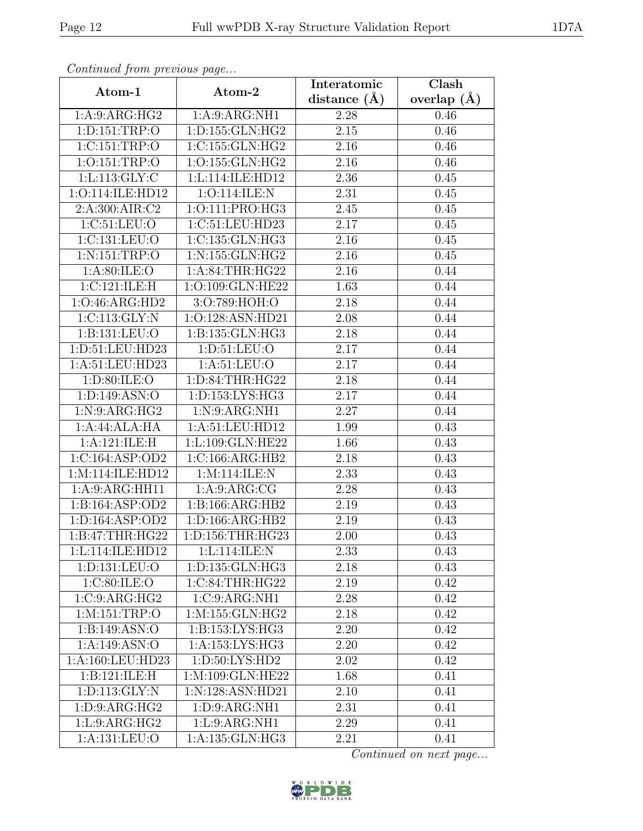| Continued from previous page |                      | Interatomic       | Clash         |  |
|------------------------------|----------------------|-------------------|---------------|--|
| Atom-1                       | Atom-2               | distance $(\AA)$  | overlap $(A)$ |  |
| 1:A:9:ARG:HG2                | 1:A:9:ARG:NH1        | 2.28              | 0.46          |  |
| 1: D: 151: TRP: O            | 1: D: 155: GLN: HG2  | 2.15              | 0.46          |  |
| 1:C:151:TRP:O                | 1:C:155:GLN:HG2      | 2.16              | 0.46          |  |
| 1:0:151:TRP:O                | 1:O:155:GLN:HG2      | 2.16              | 0.46          |  |
| 1: L: 113: GLY: C            | 1:L:114:ILE:HD12     | 2.36              | 0.45          |  |
| 1:O:114:ILE:HD12             | 1:O:114:ILE:N        | 2.31              | 0.45          |  |
| 2: A:300:AIR:C2              | 1:O:111:PRO:HG3      | 2.45              | 0.45          |  |
| 1:C:51:LEU:O                 | 1:C:51:LEU:HD23      | 2.17              | 0.45          |  |
| 1:C:131:LEU:O                | 1:C:135:GLN:HG3      | 2.16              | 0.45          |  |
| 1: N: 151: TRP:O             | 1:N:155:GLN:HG2      | 2.16              | 0.45          |  |
| 1: A:80: ILE:O               | 1: A:84:THR:HG22     | 2.16              | 0.44          |  |
| 1:C:121:ILE:H                | 1:O:109:GLN:HE22     | 1.63              | 0.44          |  |
| 1:O:46:ARG:HD2               | 3:O:789:HOH:O        | 2.18              | 0.44          |  |
| 1: C: 113: GLY: N            | 1:O:128:ASN:HD21     | 2.08              | 0.44          |  |
| 1:B:131:LEU:O                | 1:B:135:GLN:HG3      | 2.18              | 0.44          |  |
| 1:D:51:LEU:HD23              | 1: D: 51: LEU: O     | 2.17              | 0.44          |  |
| 1:A:51:LEU:HD23              | 1: A:51:LEU:O        | $\overline{2.17}$ | 0.44          |  |
| 1:D:80:ILE:O                 | 1:D:84:THR:HG22      | 2.18              | 0.44          |  |
| 1: D: 149: ASN:O             | 1:D:153:LYS:HG3      | 2.17              | 0.44          |  |
| 1: N:9: ARG:HG2              | 1: N:9: ARG:NH1      | 2.27              | 0.44          |  |
| 1:A:44:ALA:HA                | 1:A:51:LEU:HD12      | 1.99              | 0.43          |  |
| 1:A:121:ILE:H                | 1:L:109:GLN:HE22     | 1.66              | 0.43          |  |
| 1:C:164:ASP:OD2              | 1:C:166:ARG:HB2      | 2.18              | 0.43          |  |
| 1:M:114:ILE:HD12             | 1:M:114:ILE:N        | 2.33              | 0.43          |  |
| 1: A:9: ARG:HH11             | 1: A:9: ARG: CG      | 2.28              | 0.43          |  |
| 1:B:164:ASP:OD2              | 1:B:166:ARG:HB2      | 2.19              | 0.43          |  |
| 1:D:164:ASP:OD2              | 1: D: 166: ARG: HB2  | 2.19              | 0.43          |  |
| 1:B:47:THR:HG22              | 1: D: 156: THR: HG23 | 2.00              | 0.43          |  |
| 1:L:114:ILE:HD12             | 1:L:114:ILE:N        | 2.33              | 0.43          |  |
| 1:D:131:LEU:O                | 1:D:135:GLN:HG3      | 2.18              | 0.43          |  |
| 1:C:80:ILE:O                 | 1:C:84:THR:HG22      | 2.19              | 0.42          |  |
| 1:C:9:ARG:HG2                | 1:C:9:ARG:NH1        | 2.28              | 0.42          |  |
| 1:M:151:TRP:O                | 1: M: 155: GLN: HG2  | 2.18              | 0.42          |  |
| 1: B: 149: ASN:O             | 1:B:153:LYS:HG3      | 2.20              | 0.42          |  |
| 1:A:149:ASN:O                | 1: A: 153: LYS: HG3  | 2.20              | 0.42          |  |
| 1:A:160:LEU:HD23             | 1: D:50: LYS: HD2    | 2.02              | 0.42          |  |
| 1:B:121:ILE:H                | 1:M:109:GLN:HE22     | 1.68              | 0.41          |  |
| 1:D:113:GLY:N                | 1:N:128:ASN:HD21     | 2.10              | 0.41          |  |
| 1: D: 9: ARG: HG2            | 1:D:9:ARG:NH1        | 2.31              | 0.41          |  |
| 1:L:9:ARG:HG2                | 1:L:9:ARG:NH1        | 2.29              | 0.41          |  |
| 1:A:131:LEU:O                | 1:A:135:GLN:HG3      | 2.21              | 0.41          |  |

Continued from previous page.

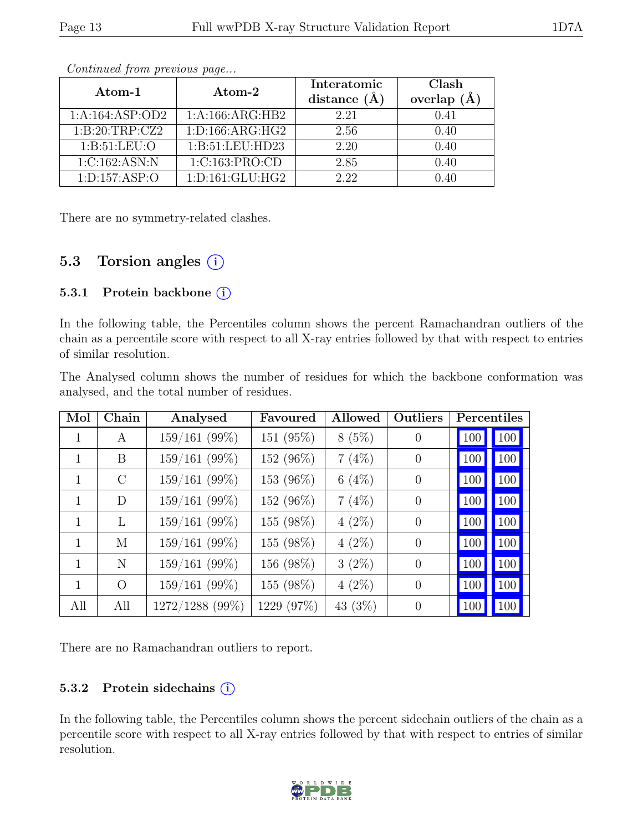| Atom-1                        | $\boldsymbol{\mathrm{Atom}\text{-}2}$ | Interatomic<br>distance $(A)$ | Clash<br>overlap<br>(A) |  |
|-------------------------------|---------------------------------------|-------------------------------|-------------------------|--|
| 1:A:164:ASP:OD2               | 1:A:166:ARG:HB2                       | 2.21                          | 0.41                    |  |
| 1:B:20:TRP:CZ2                | 1: D: 166: ARG: HG2                   | 2.56                          | 0.40                    |  |
| 1: B:51: LEU:O                | 1:B:51:LEU:HD23                       | 2.20                          | 0.40                    |  |
| 1:C:162:ASN:N                 | 1:C:163:PRO:CD                        | 2.85                          | 0.40                    |  |
| $1: D: 157: \overline{ASP:O}$ | 1: D: 161: GLU: HG2                   | 2.22                          | በ 4በ                    |  |

Continued from previous page...

There are no symmetry-related clashes.

# 5.3 Torsion angles  $(i)$

#### 5.3.1 Protein backbone  $(i)$

In the following table, the Percentiles column shows the percent Ramachandran outliers of the chain as a percentile score with respect to all X-ray entries followed by that with respect to entries of similar resolution.

The Analysed column shows the number of residues for which the backbone conformation was analysed, and the total number of residues.

| Mol          | Chain    | Analysed        | Favoured   | Allowed  | Outliers       | Percentiles |            |
|--------------|----------|-----------------|------------|----------|----------------|-------------|------------|
|              | A        | $159/161$ (99%) | 151 (95%)  | 8(5%)    | $\theta$       | 100         | 100        |
| 1            | B.       | $159/161$ (99%) | 152 (96%)  | 7(4%)    | $\theta$       | 100         | 100        |
| 1            | $\rm C$  | 159/161(99%)    | 153 (96%)  | 6(4%)    | $\Omega$       | 100         | 100        |
| $\mathbf{1}$ | D        | 159/161(99%)    | 152 (96%)  | $7(4\%)$ | $\overline{0}$ | 100         | 100        |
| 1            | L        | $159/161$ (99%) | 155 (98%)  | $4(2\%)$ | $\theta$       | 100         | 100        |
| 1            | М        | $159/161$ (99%) | 155 (98%)  | $4(2\%)$ | $\theta$       | 100         | $100 \mid$ |
| 1            | N        | 159/161(99%)    | 156 (98%)  | $3(2\%)$ | $\theta$       | 100         | 100        |
| 1            | $\Omega$ | 159/161(99%)    | 155 (98%)  | $4(2\%)$ | $\Omega$       | 100         | 100        |
| All          | All      | 1272/1288 (99%) | 1229 (97%) | 43 (3%)  | $\Omega$       | 100         | 100        |

There are no Ramachandran outliers to report.

#### 5.3.2 Protein side chains  $(i)$

In the following table, the Percentiles column shows the percent sidechain outliers of the chain as a percentile score with respect to all X-ray entries followed by that with respect to entries of similar resolution.

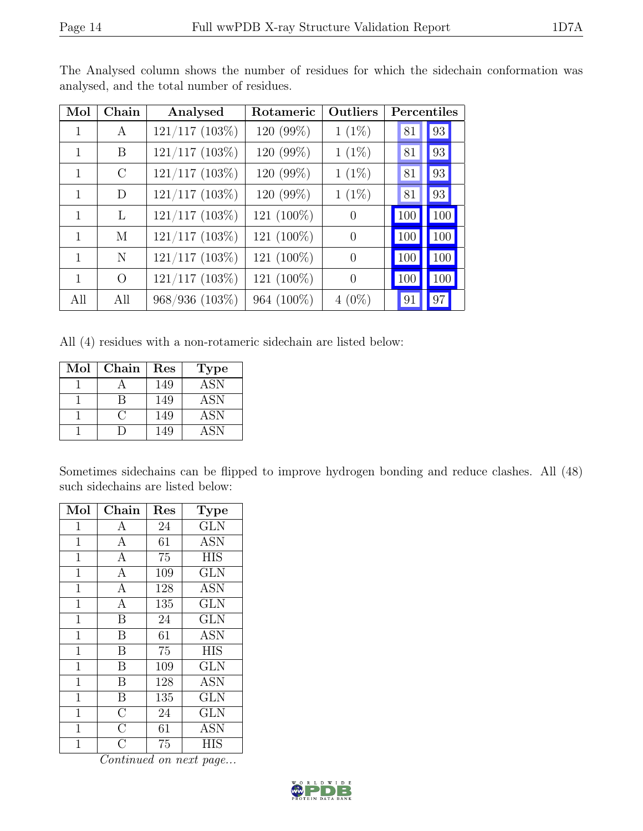| Mol | Chain    | Analysed            | Rotameric  | Outliers       |     | Percentiles |
|-----|----------|---------------------|------------|----------------|-----|-------------|
|     | A        | $121/117$ $(103\%)$ | 120 (99%)  | $1(1\%)$       | 81  | 93          |
| 1   | B        | $121/117$ (103%)    | 120 (99%)  | $1(1\%)$       | 81  | 93          |
| 1   | $\rm C$  | $121/117$ (103%)    | 120 (99%)  | $1(1\%)$       | 81  | 93          |
| 1   | D        | $121/117$ (103%)    | 120 (99%)  | $1(1\%)$       | 81  | 93          |
| 1   | L        | $121/117$ (103%)    | 121 (100%) | $\theta$       | 100 | 100         |
| 1   | M        | $121/117$ (103%)    | 121 (100%) | $\theta$       | 100 | 100         |
| 1   | N        | 121/117 (103%)      | 121 (100%) | $\overline{0}$ | 100 | 100         |
|     | $\Omega$ | $121/117$ (103%)    | 121 (100%) | $\overline{0}$ | 100 | 100         |
| All | All      | 968/936 (103%)      | 964 (100%) | $4(0\%)$       | 91  | 97          |

The Analysed column shows the number of residues for which the sidechain conformation was analysed, and the total number of residues.

All (4) residues with a non-rotameric sidechain are listed below:

| $\operatorname{Mol}$ | Chain | Res | <b>Type</b> |
|----------------------|-------|-----|-------------|
|                      |       | 149 | <b>ASN</b>  |
|                      |       | 149 | <b>ASN</b>  |
|                      |       | 149 | <b>ASN</b>  |
|                      |       | 149 | <b>ASN</b>  |

Sometimes sidechains can be flipped to improve hydrogen bonding and reduce clashes. All (48) such sidechains are listed below:

| Mol            | Chain              | Res | Type                    |
|----------------|--------------------|-----|-------------------------|
| 1              | $\boldsymbol{A}$   | 24  | <b>GLN</b>              |
| $\mathbf 1$    | $\boldsymbol{A}$   | 61  | <b>ASN</b>              |
| $\mathbf 1$    | $\mathbf{A}$       | 75  | <b>HIS</b>              |
| 1              | $\mathbf{A}$       | 109 | <b>GLN</b>              |
| $\overline{1}$ | $\mathbf{A}$       | 128 | <b>ASN</b>              |
| $\mathbf{1}$   | $\mathbf{A}$       | 135 | <b>GLN</b>              |
| $\overline{1}$ | B                  | 24  | <b>GLN</b>              |
| $\overline{1}$ | B                  | 61  | <b>ASN</b>              |
| $\mathbf 1$    | B                  | 75  | <b>HIS</b>              |
| $\overline{1}$ | B                  | 109 | <b>GLN</b>              |
| $\overline{1}$ | B                  | 128 | <b>ASN</b>              |
| $\mathbf 1$    | B                  | 135 | $\overline{\text{GLN}}$ |
| 1              | $\overline{\rm C}$ | 24  | <b>GLN</b>              |
| $\mathbf 1$    | $\overline{\rm C}$ | 61  | <b>ASN</b>              |
| 1              | $\overline{C}$     | 75  | HIS                     |

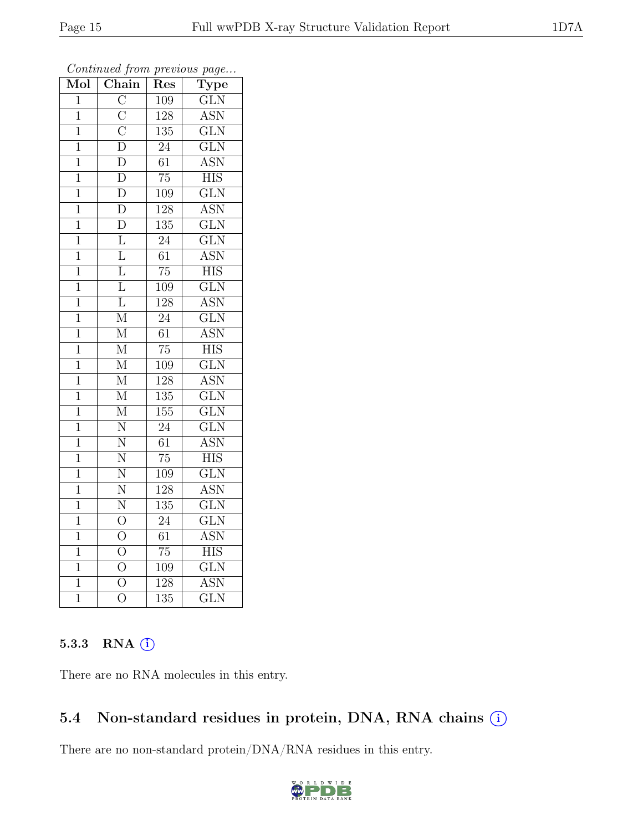| Mol            | $\overline{\text{Chain}}$           | Res              | $\overline{v}$<br>$\overline{\text{Type}}$ |
|----------------|-------------------------------------|------------------|--------------------------------------------|
| $\overline{1}$ | $\overline{\rm C}$                  | 109              | $\overline{\text{GLN}}$                    |
| $\mathbf{1}$   | $\frac{\overline{C}}{\overline{C}}$ | 128              | $\overline{\text{ASN}}$                    |
| $\overline{1}$ |                                     | $\overline{135}$ | $\overline{\text{GLN}}$                    |
| $\mathbf{1}$   | $\overline{\rm D}$                  | 24               | $\overline{\text{GLN}}$                    |
| $\overline{1}$ | $\overline{\rm D}$                  | $\overline{61}$  | <b>ASN</b>                                 |
| $\overline{1}$ | $\overline{\rm D}$                  | 75               | <b>HIS</b>                                 |
| $\mathbf 1$    | $\overline{\rm D}$                  | 109              | $\overline{\text{GLN}}$                    |
| $\mathbf 1$    | $\overline{\rm D}$                  | 128              | <b>ASN</b>                                 |
| $\mathbf{1}$   | $\overline{\rm D}$                  | 135              | $\overline{\text{GLN}}$                    |
| 1              | $\overline{\mathrm{L}}$             | $\overline{24}$  | $\overline{\text{GLN}}$                    |
| $\mathbf 1$    | $\overline{\mathrm{L}}$             | $\overline{61}$  | <b>ASN</b>                                 |
| $\overline{1}$ | $\overline{\mathrm{L}}$             | $\overline{75}$  | $\overline{\text{HIS}}$                    |
| $\mathbf 1$    | $\overline{\text{L}}$               | 109              | $\overline{\text{GLN}}$                    |
| $\mathbf 1$    | $\overline{\mathrm{L}}$             | 128              | $\overline{\text{ASN}}$                    |
| $\overline{1}$ | $\overline{\mathrm{M}}$             | $\overline{24}$  | $\overline{\text{GLN}}$                    |
| 1              | $\mathbf{M}$                        | 61               | <b>ASN</b>                                 |
| $\overline{1}$ | $\overline{\mathbf{M}}$             | $\overline{75}$  | <b>HIS</b>                                 |
| $\mathbf{1}$   | $\overline{\mathbf{M}}$             | 109              | $\overline{\text{GLN}}$                    |
| $\overline{1}$ | $\overline{\mathrm{M}}$             | $\overline{128}$ | <b>ASN</b>                                 |
| $\mathbf 1$    | $\overline{\mathrm{M}}$             | 135              | $\overline{\text{GLN}}$                    |
| $\mathbf 1$    | $\overline{\mathrm{M}}$             | 155              | $\overline{\text{GLN}}$                    |
| $\overline{1}$ | $\overline{\text{N}}$               | $\overline{24}$  | $\overline{\text{GLN}}$                    |
| $\mathbf 1$    | $\overline{\text{N}}$               | 61               | <b>ASN</b>                                 |
| $\overline{1}$ | $\overline{\text{N}}$               | $\overline{75}$  | $\overline{\text{HIS}}$                    |
| $\overline{1}$ | $\overline{\text{N}}$               | 109              | $\overline{\text{GLN}}$                    |
| $\mathbf 1$    | $\overline{\text{N}}$               | 128              | $\overline{\text{ASN}}$                    |
| $\mathbf 1$    | $\overline{\text{N}}$               | 135              | $\overline{\text{GLN}}$                    |
| $\mathbf 1$    | $\overline{O}$                      | 24               | $\overline{\text{GLN}}$                    |
| $\mathbf{1}$   | $\overline{O}$                      | $\overline{61}$  | <b>ASN</b>                                 |
| $\overline{1}$ | $\overline{O}$                      | $\overline{75}$  | <b>HIS</b>                                 |
| $\mathbf{1}$   | $\overline{O}$                      | 109              | $\overline{\text{GLN}}$                    |
| $\overline{1}$ | $\overline{O}$                      | 128              | <b>ASN</b>                                 |
| $\mathbf 1$    | $\overline{O}$                      | 135              | $\overline{\text{GLN}}$                    |

Continued from previous page...

### 5.3.3 RNA (i)

There are no RNA molecules in this entry.

# 5.4 Non-standard residues in protein, DNA, RNA chains (i)

There are no non-standard protein/DNA/RNA residues in this entry.

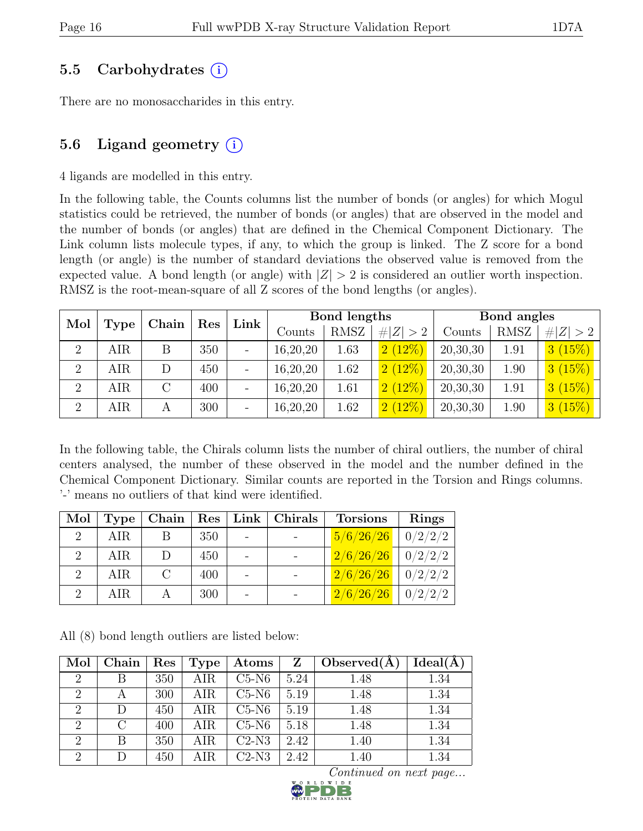### 5.5 Carbohydrates (i)

There are no monosaccharides in this entry.

# 5.6 Ligand geometry  $(i)$

4 ligands are modelled in this entry.

In the following table, the Counts columns list the number of bonds (or angles) for which Mogul statistics could be retrieved, the number of bonds (or angles) that are observed in the model and the number of bonds (or angles) that are defined in the Chemical Component Dictionary. The Link column lists molecule types, if any, to which the group is linked. The Z score for a bond length (or angle) is the number of standard deviations the observed value is removed from the expected value. A bond length (or angle) with  $|Z| > 2$  is considered an outlier worth inspection. RMSZ is the root-mean-square of all Z scores of the bond lengths (or angles).

| Mol            |             | Chain | Res | Link | Bond lengths |      |             | Bond angles |             |             |
|----------------|-------------|-------|-----|------|--------------|------|-------------|-------------|-------------|-------------|
|                | <b>Type</b> |       |     |      | Counts       | RMSZ | # $ Z  > 2$ | Counts      | <b>RMSZ</b> | # $ Z  > 2$ |
| $\overline{2}$ | AIR         | Β     | 350 |      | 16,20,20     | 1.63 | 2(12%)      | 20,30,30    | 1.91        | 3(15%)      |
| $\overline{2}$ | AIR         |       | 450 |      | 16,20,20     | 1.62 | 2(12%)      | 20,30,30    | 1.90        | 3(15%)      |
| $\overline{2}$ | AIR         |       | 400 |      | 16,20,20     | 1.61 | 2(12%)      | 20,30,30    | 1.91        | 3(15%)      |
| $\overline{2}$ | AIR         |       | 300 |      | 16,20,20     | 1.62 | 2(12%)      | 20,30,30    | 1.90        | 3(15%)      |

In the following table, the Chirals column lists the number of chiral outliers, the number of chiral centers analysed, the number of these observed in the model and the number defined in the Chemical Component Dictionary. Similar counts are reported in the Torsion and Rings columns. '-' means no outliers of that kind were identified.

| Mol                         | Type |     | Chain   Res   Link   Christmas | <b>Torsions</b>    | <b>Rings</b> |
|-----------------------------|------|-----|--------------------------------|--------------------|--------------|
| $\mathcal{D}_{\mathcal{L}}$ | AIR  | 350 |                                | 5/6/26/26          | 0/2/2/2      |
|                             | AIR  | 450 |                                | 2/6/26/26          | 0/2/2/2      |
|                             | AIR  | 400 |                                | 2/6/26/26          | 0/2/2/2      |
|                             | AIR  | 300 |                                | $\sqrt{2/6/26/26}$ | 0/2/2/2      |

All (8) bond length outliers are listed below:

| Mol            | Chain     | Res | <b>Type</b> | Atoms   | Z    | Observed $(A)$ | Ideal(A) |
|----------------|-----------|-----|-------------|---------|------|----------------|----------|
| $\overline{2}$ |           | 350 | AIR         | $C5-N6$ | 5.24 | 1.48           | 1.34     |
| 2              |           | 300 | AIR         | $C5-N6$ | 5.19 | 1.48           | 1.34     |
| $\overline{2}$ | D         | 450 | AIR         | $C5-N6$ | 5.19 | 1.48           | 1.34     |
| $\overline{2}$ | $\bigcap$ | 400 | AIR         | $C5-N6$ | 5.18 | 1.48           | 1.34     |
| $\overline{2}$ | B         | 350 | AIR         | $C2-N3$ | 2.42 | 1.40           | 1.34     |
| $\Omega$       | $\Box$    | 450 | AIR         | $C2-N3$ | 2.42 | 1.40           | 1.34     |

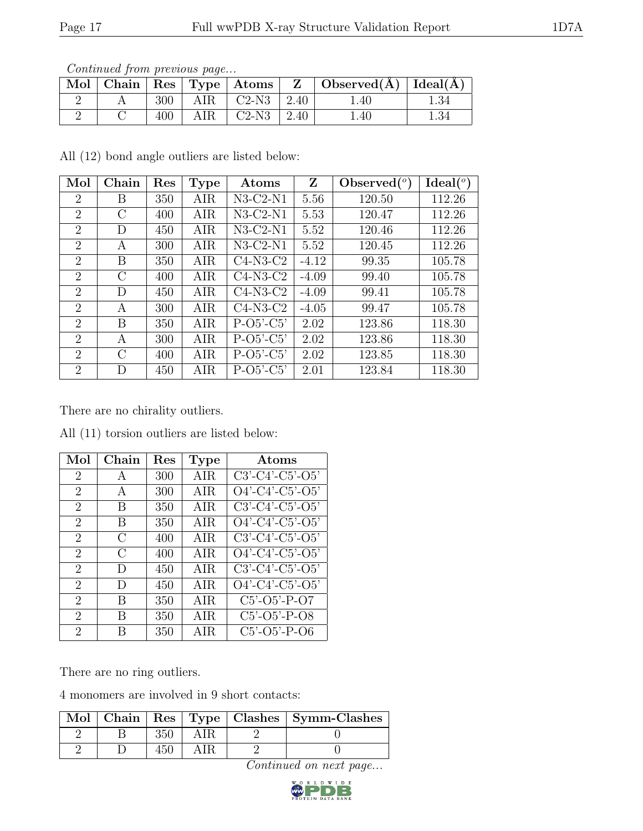| Contentaca from previous page |  |     |     |                          |  |                                                                         |          |  |  |
|-------------------------------|--|-----|-----|--------------------------|--|-------------------------------------------------------------------------|----------|--|--|
|                               |  |     |     |                          |  | Mol   Chain   Res   Type   Atoms   Z   Observed $(\AA)$   Ideal $(\AA)$ |          |  |  |
|                               |  | 300 | AIR | $\mid$ C2-N3 $\mid$ 2.40 |  | $1.40^{\circ}$                                                          | 1.34     |  |  |
|                               |  | 400 | AIR | $C2-N3$   2.40           |  | 1.40                                                                    | $1.34\,$ |  |  |

Continued from previous page.

All (12) bond angle outliers are listed below:

| Mol                         | Chain         | Res | <b>Type</b> | Atoms       | Z       | $\text{Observed} (°)$ | $Ideal(^o)$ |
|-----------------------------|---------------|-----|-------------|-------------|---------|-----------------------|-------------|
| $\overline{2}$              | Β             | 350 | AIR         | $N3-C2-N1$  | 5.56    | 120.50                | 112.26      |
| $\overline{2}$              | $\rm C$       | 400 | AIR         | $N3-C2-N1$  | 5.53    | 120.47                | 112.26      |
| $\overline{2}$              | D             | 450 | AIR         | $N3-C2-N1$  | 5.52    | 120.46                | 112.26      |
| $\overline{2}$              | A             | 300 | AIR         | $N3-C2-N1$  | 5.52    | 120.45                | 112.26      |
| $\overline{2}$              | B             | 350 | AIR         | $C4-N3-C2$  | $-4.12$ | 99.35                 | 105.78      |
| $\overline{2}$              | $\mathcal{C}$ | 400 | AIR         | $C4-N3-C2$  | $-4.09$ | 99.40                 | 105.78      |
| 2                           | D             | 450 | AIR         | $C4-N3-C2$  | $-4.09$ | 99.41                 | 105.78      |
| $\overline{2}$              | A             | 300 | AIR         | $C4-N3-C2$  | $-4.05$ | 99.47                 | 105.78      |
| $\overline{2}$              | B             | 350 | AIR         | $P-O5'-C5'$ | 2.02    | 123.86                | 118.30      |
| $\mathcal{D}_{\mathcal{L}}$ | A             | 300 | AIR         | $P-O5'-C5'$ | 2.02    | 123.86                | 118.30      |
| $\overline{2}$              | $\mathcal{C}$ | 400 | AIR         | $P-O5'-C5'$ | 2.02    | 123.85                | 118.30      |
| $\overline{2}$              | D             | 450 | AIR         | $P-O5'-C5'$ | 2.01    | 123.84                | 118.30      |

There are no chirality outliers.

| Mol                         | Chain         | Res | <b>Type</b> | Atoms                         |
|-----------------------------|---------------|-----|-------------|-------------------------------|
| 2                           | $\mathsf{A}$  | 300 | <b>AIR</b>  | $C3'-C4'-C5'-O5'$             |
| 2                           | А             | 300 | AIR         | $O4'$ -C4'-C5'-O5'            |
| $\overline{2}$              | B             | 350 | <b>AIR</b>  | $C3'$ - $C4'$ - $C5'$ - $O5'$ |
| 2                           | B             | 350 | <b>AIR</b>  | $O4'$ -C4'-C5'-O5'            |
| $\overline{2}$              | $\mathcal{C}$ | 400 | AIR         | $C3' - C4' - C5' - O5'$       |
| $\overline{2}$              | $\bigcap$     | 400 | AIR.        | $O4'$ -C4'-C5'-O5'            |
| $\overline{2}$              | D             | 450 | AIR         | $C3'-C4'-C5'-O5'$             |
| $\mathcal{D}_{\mathcal{L}}$ | D             | 450 | AIR         | $O4'$ -C4'-C5'-O5'            |
| 2                           | B             | 350 | AIR.        | $C5'$ - $O5'$ - $P$ - $O7$    |
| 2                           | B             | 350 | AIR         | $C5'$ - $O5'$ - $P$ - $O8$    |
| $\overline{2}$              | R             | 350 | AIR         | $C5'$ -O5'-P-O6               |

All (11) torsion outliers are listed below:

There are no ring outliers.

4 monomers are involved in 9 short contacts:

|  |  | Mol   Chain   Res   Type   Clashes   Symm-Clashes |
|--|--|---------------------------------------------------|
|  |  |                                                   |
|  |  |                                                   |

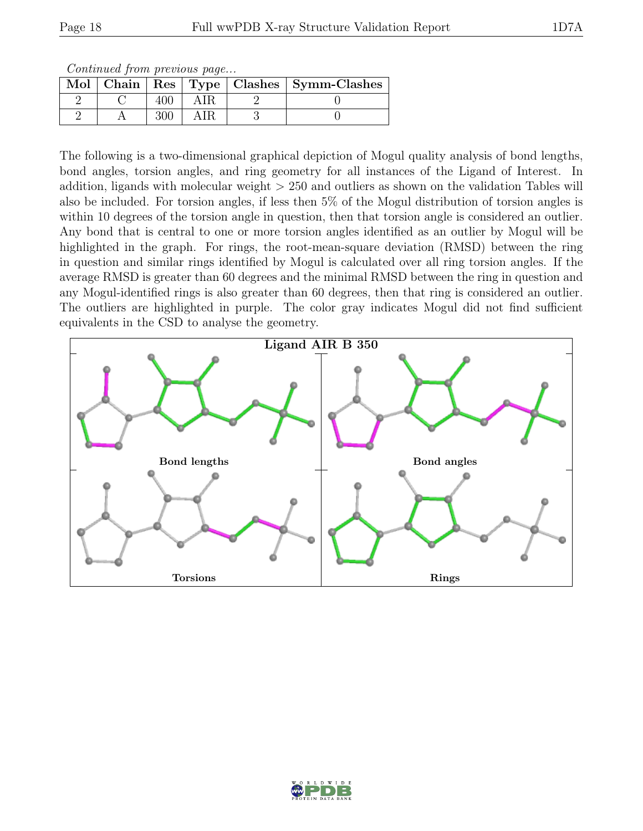Continued from previous page...

|  |  | Mol   Chain   Res   Type   Clashes   Symm-Clashes |
|--|--|---------------------------------------------------|
|  |  |                                                   |
|  |  |                                                   |

The following is a two-dimensional graphical depiction of Mogul quality analysis of bond lengths, bond angles, torsion angles, and ring geometry for all instances of the Ligand of Interest. In addition, ligands with molecular weight > 250 and outliers as shown on the validation Tables will also be included. For torsion angles, if less then 5% of the Mogul distribution of torsion angles is within 10 degrees of the torsion angle in question, then that torsion angle is considered an outlier. Any bond that is central to one or more torsion angles identified as an outlier by Mogul will be highlighted in the graph. For rings, the root-mean-square deviation (RMSD) between the ring in question and similar rings identified by Mogul is calculated over all ring torsion angles. If the average RMSD is greater than 60 degrees and the minimal RMSD between the ring in question and any Mogul-identified rings is also greater than 60 degrees, then that ring is considered an outlier. The outliers are highlighted in purple. The color gray indicates Mogul did not find sufficient equivalents in the CSD to analyse the geometry.



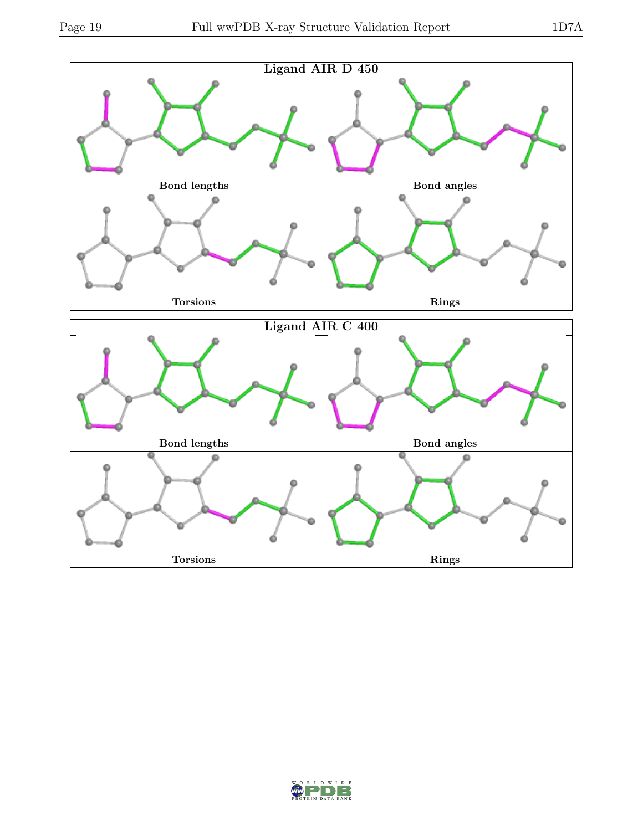

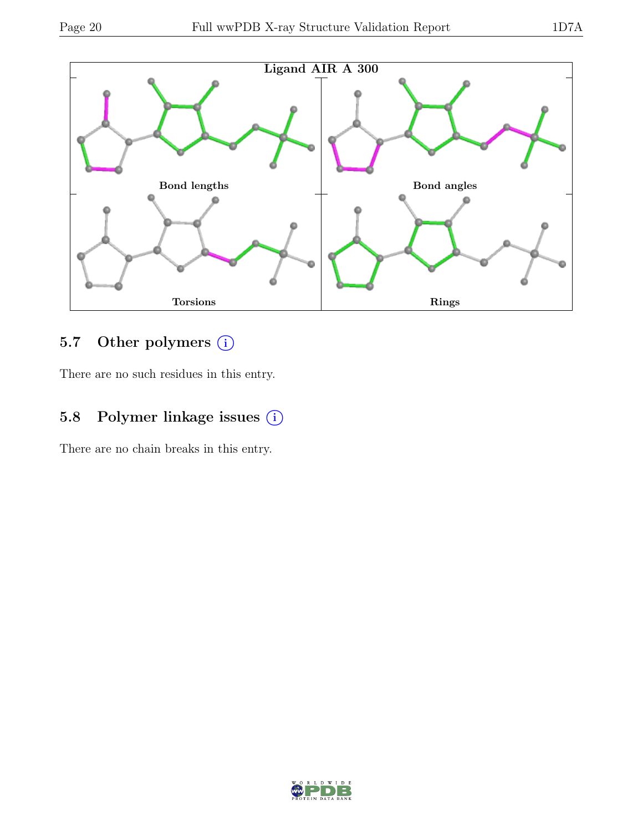

# 5.7 Other polymers (i)

There are no such residues in this entry.

# 5.8 Polymer linkage issues  $(i)$

There are no chain breaks in this entry.